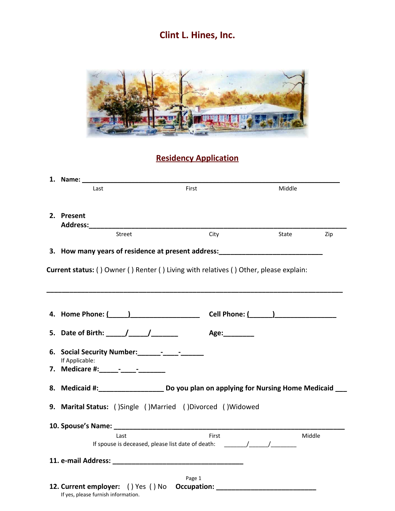**Clint L. Hines, Inc.**



# **Residency Application**

| Last                                                                                  | First                                                                                      | Middle       |  |  |
|---------------------------------------------------------------------------------------|--------------------------------------------------------------------------------------------|--------------|--|--|
|                                                                                       |                                                                                            |              |  |  |
| 2. Present<br>Address:_____________                                                   |                                                                                            |              |  |  |
| <b>Street</b>                                                                         | City                                                                                       | State<br>Zip |  |  |
|                                                                                       | 3. How many years of residence at present address: _____________________________           |              |  |  |
| Current status: () Owner () Renter () Living with relatives () Other, please explain: |                                                                                            |              |  |  |
|                                                                                       |                                                                                            |              |  |  |
| 5. Date of Birth: $\frac{1}{\sqrt{1-\frac{1}{\sqrt{1-\cdots}}}}$                      | Age:                                                                                       |              |  |  |
| If Applicable:                                                                        |                                                                                            |              |  |  |
| 7. Medicare #: _____- ______- _______                                                 |                                                                                            |              |  |  |
|                                                                                       | 8. Medicaid #:______________________ Do you plan on applying for Nursing Home Medicaid __  |              |  |  |
|                                                                                       | 9. Marital Status: ()Single ()Married ()Divorced ()Widowed                                 |              |  |  |
|                                                                                       |                                                                                            |              |  |  |
| Last                                                                                  | First<br>If spouse is deceased, please list date of death: _______________________________ | Middle       |  |  |
|                                                                                       |                                                                                            |              |  |  |
| If yes, please furnish information.                                                   | Page 1<br>12. Current employer: () Yes () No Occupation: _________________________________ |              |  |  |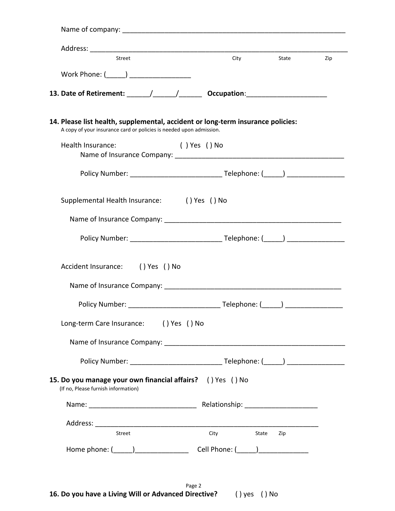| Street                                                                                                                                                 | <b>City</b>    | State        | Zip |
|--------------------------------------------------------------------------------------------------------------------------------------------------------|----------------|--------------|-----|
| Work Phone: (______) ___________________                                                                                                               |                |              |     |
|                                                                                                                                                        |                |              |     |
| 13. Date of Retirement: ______/______/___________ Occupation: __________________                                                                       |                |              |     |
| 14. Please list health, supplemental, accident or long-term insurance policies:<br>A copy of your insurance card or policies is needed upon admission. |                |              |     |
| Health Insurance:                                                                                                                                      | ( ) Yes ( ) No |              |     |
|                                                                                                                                                        |                |              |     |
| Supplemental Health Insurance: () Yes () No                                                                                                            |                |              |     |
|                                                                                                                                                        |                |              |     |
|                                                                                                                                                        |                |              |     |
| Accident Insurance: () Yes () No                                                                                                                       |                |              |     |
|                                                                                                                                                        |                |              |     |
|                                                                                                                                                        |                |              |     |
|                                                                                                                                                        |                |              |     |
| Long-term Care Insurance: () Yes () No                                                                                                                 |                |              |     |
|                                                                                                                                                        |                |              |     |
|                                                                                                                                                        |                |              |     |
| 15. Do you manage your own financial affairs? () Yes () No<br>(If no, Please furnish information)                                                      |                |              |     |
|                                                                                                                                                        |                |              |     |
|                                                                                                                                                        |                |              |     |
| Street                                                                                                                                                 | City           | State<br>Zip |     |

Page 2 **16. Do you have a Living Will or Advanced Directive?** ( ) yes ( ) No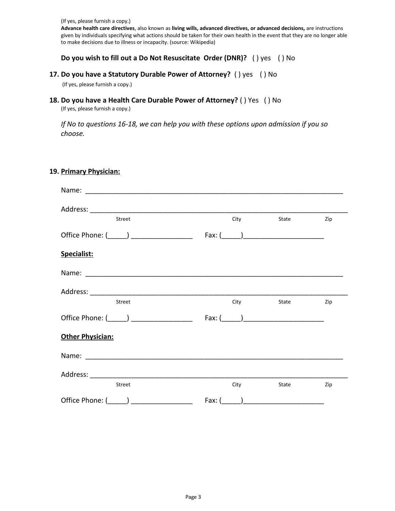(If yes, please furnish a copy.)

**Advance health care directives**, also known as **living wills, advanced directives, or advanced decisions,** are instructions given by individuals specifying what actions should be taken for their own health in the event that they are no longer able to make decisions due to illness or incapacity. (source: Wikipedia)

#### **Do you wish to fill out a Do Not Resuscitate Order (DNR)?** ( ) yes ( ) No

#### **17. Do you have a Statutory Durable Power of Attorney?** ( ) yes ( ) No

(If yes, please furnish a copy.)

#### **18. Do you have a Health Care Durable Power of Attorney?** ( ) Yes ( ) No

(If yes, please furnish a copy.)

*If No to questions 16-18, we can help you with these options upon admission if you so choose.*

#### **19. Primary Physician:**

| Street                                                                                                                                                                                                                         | City                                                | State | Zip |
|--------------------------------------------------------------------------------------------------------------------------------------------------------------------------------------------------------------------------------|-----------------------------------------------------|-------|-----|
| Office Phone: (______) __________________                                                                                                                                                                                      | Fax: $\begin{pmatrix} 1 & 1 \\ 1 & 1 \end{pmatrix}$ |       |     |
| Specialist:                                                                                                                                                                                                                    |                                                     |       |     |
| Name: 2008 - 2008 - 2008 - 2010 - 2010 - 2010 - 2010 - 2010 - 2010 - 2010 - 2010 - 2010 - 2010 - 2010 - 2010 - 2010 - 2010 - 2010 - 2010 - 2010 - 2010 - 2010 - 2010 - 2010 - 2010 - 2010 - 2010 - 2010 - 2010 - 2010 - 2010 - |                                                     |       |     |
|                                                                                                                                                                                                                                |                                                     |       |     |
| <b>Street</b>                                                                                                                                                                                                                  | City                                                | State | Zip |
| Office Phone: (______) ___________________                                                                                                                                                                                     |                                                     |       |     |
| <b>Other Physician:</b>                                                                                                                                                                                                        |                                                     |       |     |
|                                                                                                                                                                                                                                |                                                     |       |     |
|                                                                                                                                                                                                                                |                                                     |       |     |
| Street                                                                                                                                                                                                                         | City                                                | State | Zip |
| Office Phone: (______) _________                                                                                                                                                                                               | Fax: $($                                            |       |     |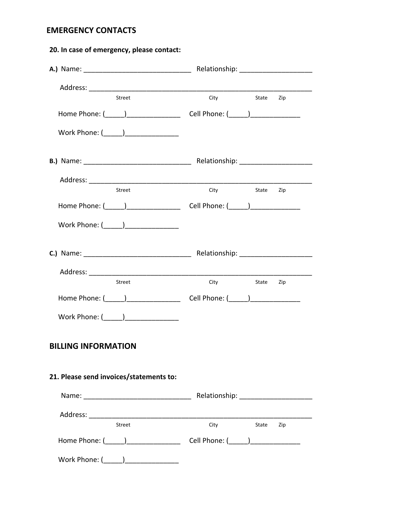## **EMERGENCY CONTACTS**

| 20. In case of emergency, please contact: |                  |           |  |
|-------------------------------------------|------------------|-----------|--|
|                                           |                  |           |  |
|                                           |                  |           |  |
| Street                                    | <b>City City</b> | State Zip |  |
|                                           |                  |           |  |
|                                           |                  |           |  |
|                                           |                  |           |  |
|                                           |                  |           |  |
| Street                                    | City State Zip   |           |  |
|                                           |                  |           |  |
|                                           |                  |           |  |
|                                           |                  |           |  |
|                                           |                  |           |  |
| <b>Street</b>                             | City State Zip   |           |  |
|                                           |                  |           |  |
| Work Phone: (_____)________________       |                  |           |  |
| <b>BILLING INFORMATION</b>                |                  |           |  |
| 21. Please send invoices/statements to:   |                  |           |  |
|                                           |                  |           |  |
|                                           |                  |           |  |
| Street                                    | City State Zip   |           |  |
|                                           |                  |           |  |
| Work Phone: (______)_________________     |                  |           |  |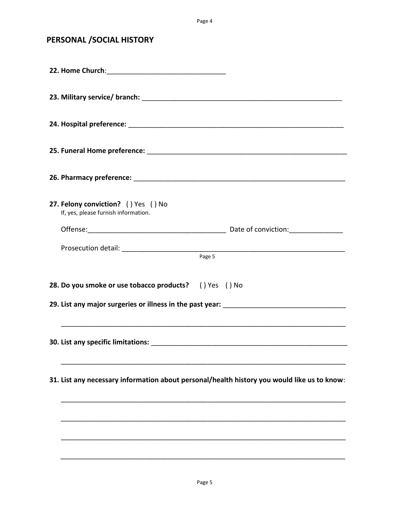Page 4

## **PERSONAL /SOCIAL HISTORY**

| 31. List any necessary information about personal/health history you would like us to know: |
|---------------------------------------------------------------------------------------------|
|                                                                                             |
|                                                                                             |
|                                                                                             |
|                                                                                             |